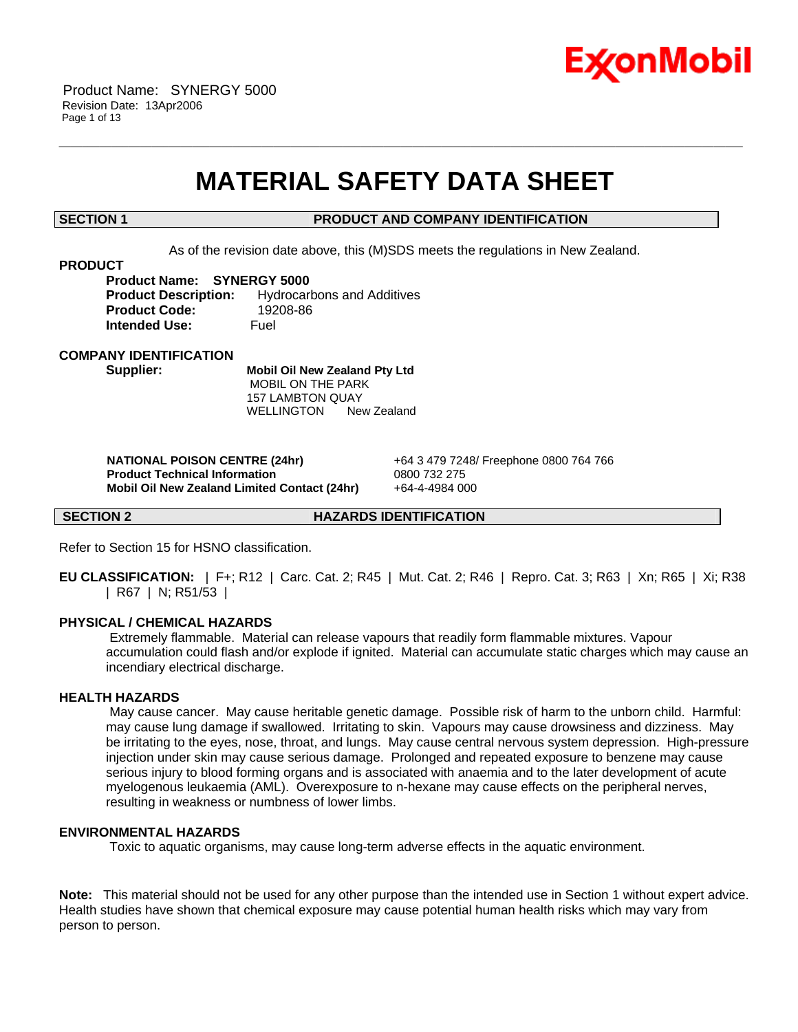

# **MATERIAL SAFETY DATA SHEET**

\_\_\_\_\_\_\_\_\_\_\_\_\_\_\_\_\_\_\_\_\_\_\_\_\_\_\_\_\_\_\_\_\_\_\_\_\_\_\_\_\_\_\_\_\_\_\_\_\_\_\_\_\_\_\_\_\_\_\_\_\_\_\_\_\_\_\_\_\_\_\_\_\_\_\_\_\_\_\_\_\_\_\_\_\_\_\_\_\_\_\_\_\_\_\_\_\_\_\_\_\_\_\_\_\_\_\_\_\_\_\_\_\_\_\_\_\_\_

#### **SECTION 1 PRODUCT AND COMPANY IDENTIFICATION**

As of the revision date above, this (M)SDS meets the regulations in New Zealand.

#### **PRODUCT**

**Product Name: SYNERGY 5000 Product Description:** Hydrocarbons and Additives **Product Code:** 19208-86 **Intended Use:** Fuel

#### **COMPANY IDENTIFICATION**

**Supplier: Mobil Oil New Zealand Pty Ltd** MOBIL ON THE PARK 157 LAMBTON QUAY WELLINGTON New Zealand

 **NATIONAL POISON CENTRE (24hr)** +64 3 479 7248/ Freephone 0800 764 766  **Product Technical Information** 0800 732 275  **Mobil Oil New Zealand Limited Contact (24hr)** +64-4-4984 000

**SECTION 2 HAZARDS IDENTIFICATION**

Refer to Section 15 for HSNO classification.

**EU CLASSIFICATION:** | F+; R12 | Carc. Cat. 2; R45 | Mut. Cat. 2; R46 | Repro. Cat. 3; R63 | Xn; R65 | Xi; R38 | R67 | N; R51/53 |

#### **PHYSICAL / CHEMICAL HAZARDS**

 Extremely flammable. Material can release vapours that readily form flammable mixtures. Vapour accumulation could flash and/or explode if ignited. Material can accumulate static charges which may cause an incendiary electrical discharge.

## **HEALTH HAZARDS**

 May cause cancer. May cause heritable genetic damage. Possible risk of harm to the unborn child. Harmful: may cause lung damage if swallowed. Irritating to skin. Vapours may cause drowsiness and dizziness. May be irritating to the eyes, nose, throat, and lungs. May cause central nervous system depression. High-pressure injection under skin may cause serious damage. Prolonged and repeated exposure to benzene may cause serious injury to blood forming organs and is associated with anaemia and to the later development of acute myelogenous leukaemia (AML). Overexposure to n-hexane may cause effects on the peripheral nerves, resulting in weakness or numbness of lower limbs.

#### **ENVIRONMENTAL HAZARDS**

Toxic to aquatic organisms, may cause long-term adverse effects in the aquatic environment.

**Note:** This material should not be used for any other purpose than the intended use in Section 1 without expert advice. Health studies have shown that chemical exposure may cause potential human health risks which may vary from person to person.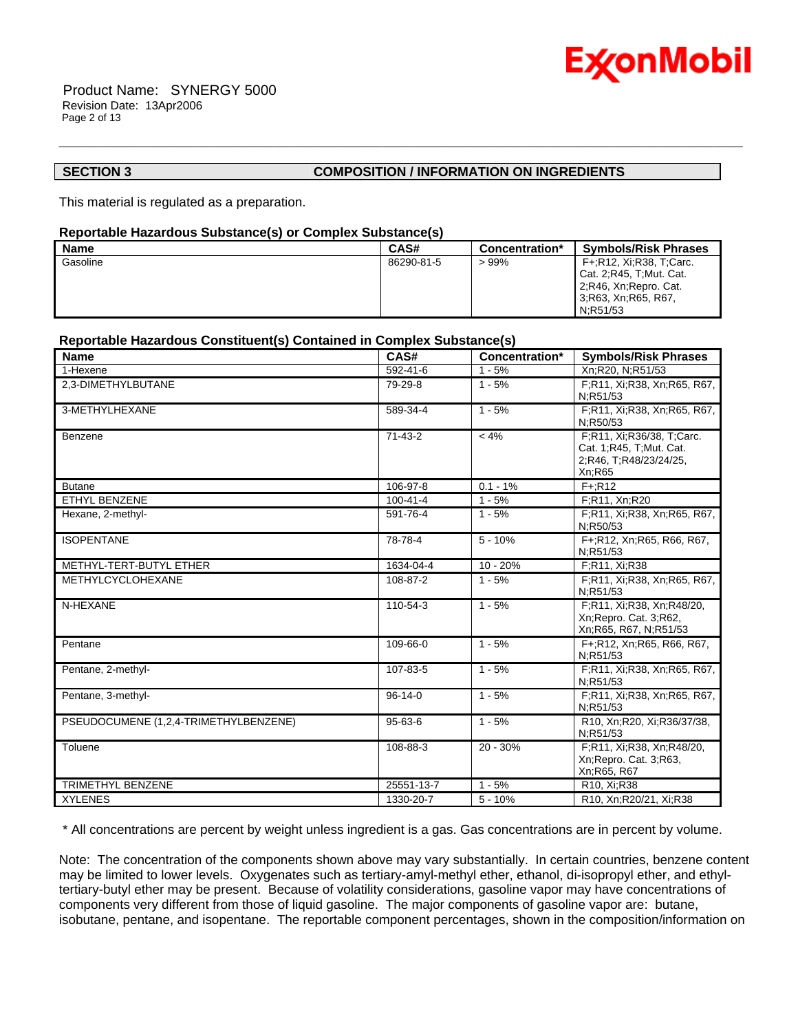

 Product Name: SYNERGY 5000 Revision Date: 13Apr2006 Page 2 of 13

## **SECTION 3 COMPOSITION / INFORMATION ON INGREDIENTS**

This material is regulated as a preparation.

#### **Reportable Hazardous Substance(s) or Complex Substance(s)**

| <b>Name</b> | CAS#       | Concentration* | <b>Symbols/Risk Phrases</b>                                                                            |
|-------------|------------|----------------|--------------------------------------------------------------------------------------------------------|
| Gasoline    | 86290-81-5 | $>99\%$        | F+:R12, Xi:R38, T:Carc.<br>Cat. 2; R45, T; Mut. Cat.<br>2, R46, Xn, Repro. Cat.<br>3;R63, Xn;R65, R67, |
|             |            |                | N:R51/53                                                                                               |

\_\_\_\_\_\_\_\_\_\_\_\_\_\_\_\_\_\_\_\_\_\_\_\_\_\_\_\_\_\_\_\_\_\_\_\_\_\_\_\_\_\_\_\_\_\_\_\_\_\_\_\_\_\_\_\_\_\_\_\_\_\_\_\_\_\_\_\_\_\_\_\_\_\_\_\_\_\_\_\_\_\_\_\_\_\_\_\_\_\_\_\_\_\_\_\_\_\_\_\_\_\_\_\_\_\_\_\_\_\_\_\_\_\_\_\_\_\_

### **Reportable Hazardous Constituent(s) Contained in Complex Substance(s)**

| <b>Name</b>                           | CAS#           | Concentration* | <b>Symbols/Risk Phrases</b>                                                              |
|---------------------------------------|----------------|----------------|------------------------------------------------------------------------------------------|
| 1-Hexene                              | 592-41-6       | $1 - 5%$       | Xn;R20, N;R51/53                                                                         |
| 2,3-DIMETHYLBUTANE                    | 79-29-8        | $1 - 5%$       | F;R11, Xi;R38, Xn;R65, R67,<br>N;R51/53                                                  |
| 3-METHYLHEXANE                        | 589-34-4       | $1 - 5%$       | F;R11, Xi;R38, Xn;R65, R67,<br>N:R50/53                                                  |
| Benzene                               | $71 - 43 - 2$  | $< 4\%$        | F;R11, Xi;R36/38, T;Carc.<br>Cat. 1;R45, T;Mut. Cat.<br>2;R46, T;R48/23/24/25,<br>Xn;R65 |
| <b>Butane</b>                         | 106-97-8       | $0.1 - 1\%$    | $F + R12$                                                                                |
| <b>ETHYL BENZENE</b>                  | $100 - 41 - 4$ | $1 - 5%$       | F;R11, Xn;R20                                                                            |
| Hexane, 2-methyl-                     | 591-76-4       | $1 - 5%$       | F;R11, Xi;R38, Xn;R65, R67,<br>N:R50/53                                                  |
| <b>ISOPENTANE</b>                     | 78-78-4        | $5 - 10%$      | F+;R12, Xn;R65, R66, R67,<br>N;R51/53                                                    |
| METHYL-TERT-BUTYL ETHER               | 1634-04-4      | $10 - 20%$     | F:R11, Xi:R38                                                                            |
| METHYLCYCLOHEXANE                     | 108-87-2       | $1 - 5%$       | F;R11, Xi;R38, Xn;R65, R67,<br>N:R51/53                                                  |
| N-HEXANE                              | 110-54-3       | $1 - 5%$       | F;R11, Xi;R38, Xn;R48/20,<br>Xn; Repro. Cat. 3; R62,<br>Xn;R65, R67, N;R51/53            |
| Pentane                               | 109-66-0       | $1 - 5%$       | F+;R12, Xn;R65, R66, R67,<br>N:R51/53                                                    |
| Pentane, 2-methyl-                    | 107-83-5       | $1 - 5%$       | F;R11, Xi;R38, Xn;R65, R67,<br>N:R51/53                                                  |
| Pentane, 3-methyl-                    | $96 - 14 - 0$  | $1 - 5%$       | F;R11, Xi;R38, Xn;R65, R67,<br>N:R51/53                                                  |
| PSEUDOCUMENE (1,2,4-TRIMETHYLBENZENE) | $95 - 63 - 6$  | $1 - 5%$       | R10, Xn;R20, Xi;R36/37/38,<br>N:R51/53                                                   |
| Toluene                               | 108-88-3       | $20 - 30%$     | F;R11, Xi;R38, Xn;R48/20,<br>Xn; Repro. Cat. 3; R63,<br>Xn;R65, R67                      |
| <b>TRIMETHYL BENZENE</b>              | 25551-13-7     | $1 - 5%$       | R10, Xi;R38                                                                              |
| <b>XYLENES</b>                        | 1330-20-7      | $5 - 10%$      | R10, Xn; R20/21, Xi; R38                                                                 |

\* All concentrations are percent by weight unless ingredient is a gas. Gas concentrations are in percent by volume.

Note: The concentration of the components shown above may vary substantially. In certain countries, benzene content may be limited to lower levels. Oxygenates such as tertiary-amyl-methyl ether, ethanol, di-isopropyl ether, and ethyltertiary-butyl ether may be present. Because of volatility considerations, gasoline vapor may have concentrations of components very different from those of liquid gasoline. The major components of gasoline vapor are: butane, isobutane, pentane, and isopentane. The reportable component percentages, shown in the composition/information on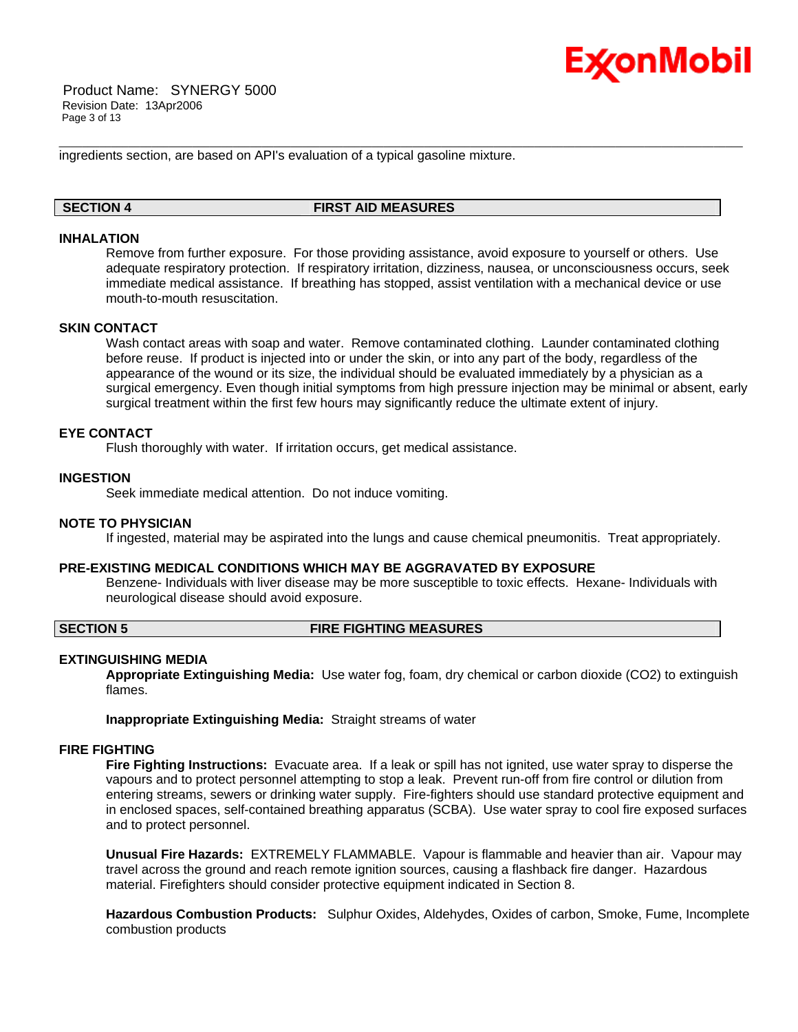

 Product Name: SYNERGY 5000 Revision Date: 13Apr2006 Page 3 of 13

ingredients section, are based on API's evaluation of a typical gasoline mixture.

### **SECTION 4 FIRST AID MEASURES**

\_\_\_\_\_\_\_\_\_\_\_\_\_\_\_\_\_\_\_\_\_\_\_\_\_\_\_\_\_\_\_\_\_\_\_\_\_\_\_\_\_\_\_\_\_\_\_\_\_\_\_\_\_\_\_\_\_\_\_\_\_\_\_\_\_\_\_\_\_\_\_\_\_\_\_\_\_\_\_\_\_\_\_\_\_\_\_\_\_\_\_\_\_\_\_\_\_\_\_\_\_\_\_\_\_\_\_\_\_\_\_\_\_\_\_\_\_\_

#### **INHALATION**

Remove from further exposure. For those providing assistance, avoid exposure to yourself or others. Use adequate respiratory protection. If respiratory irritation, dizziness, nausea, or unconsciousness occurs, seek immediate medical assistance. If breathing has stopped, assist ventilation with a mechanical device or use mouth-to-mouth resuscitation.

#### **SKIN CONTACT**

Wash contact areas with soap and water. Remove contaminated clothing. Launder contaminated clothing before reuse. If product is injected into or under the skin, or into any part of the body, regardless of the appearance of the wound or its size, the individual should be evaluated immediately by a physician as a surgical emergency. Even though initial symptoms from high pressure injection may be minimal or absent, early surgical treatment within the first few hours may significantly reduce the ultimate extent of injury.

### **EYE CONTACT**

Flush thoroughly with water. If irritation occurs, get medical assistance.

#### **INGESTION**

Seek immediate medical attention. Do not induce vomiting.

#### **NOTE TO PHYSICIAN**

If ingested, material may be aspirated into the lungs and cause chemical pneumonitis. Treat appropriately.

#### **PRE-EXISTING MEDICAL CONDITIONS WHICH MAY BE AGGRAVATED BY EXPOSURE**

Benzene- Individuals with liver disease may be more susceptible to toxic effects. Hexane- Individuals with neurological disease should avoid exposure.

#### **SECTION 5 FIRE FIGHTING MEASURES**

#### **EXTINGUISHING MEDIA**

**Appropriate Extinguishing Media:** Use water fog, foam, dry chemical or carbon dioxide (CO2) to extinguish flames.

**Inappropriate Extinguishing Media:** Straight streams of water

#### **FIRE FIGHTING**

**Fire Fighting Instructions:** Evacuate area. If a leak or spill has not ignited, use water spray to disperse the vapours and to protect personnel attempting to stop a leak. Prevent run-off from fire control or dilution from entering streams, sewers or drinking water supply. Fire-fighters should use standard protective equipment and in enclosed spaces, self-contained breathing apparatus (SCBA). Use water spray to cool fire exposed surfaces and to protect personnel.

**Unusual Fire Hazards:** EXTREMELY FLAMMABLE. Vapour is flammable and heavier than air. Vapour may travel across the ground and reach remote ignition sources, causing a flashback fire danger. Hazardous material. Firefighters should consider protective equipment indicated in Section 8.

**Hazardous Combustion Products:** Sulphur Oxides, Aldehydes, Oxides of carbon, Smoke, Fume, Incomplete combustion products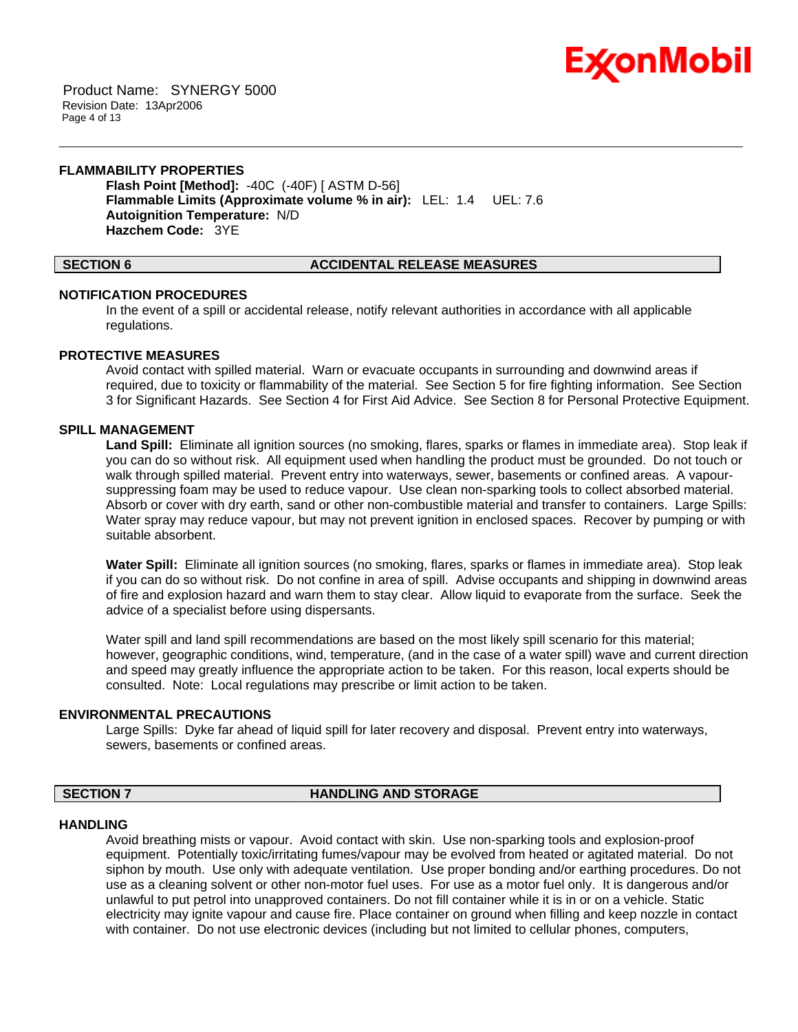

 Product Name: SYNERGY 5000 Revision Date: 13Apr2006 Page 4 of 13

# **FLAMMABILITY PROPERTIES**

**Flash Point [Method]:** -40C (-40F) [ ASTM D-56] **Flammable Limits (Approximate volume % in air):** LEL: 1.4 UEL: 7.6 **Autoignition Temperature:** N/D **Hazchem Code:** 3YE

#### **SECTION 6 ACCIDENTAL RELEASE MEASURES**

#### **NOTIFICATION PROCEDURES**

In the event of a spill or accidental release, notify relevant authorities in accordance with all applicable regulations.

\_\_\_\_\_\_\_\_\_\_\_\_\_\_\_\_\_\_\_\_\_\_\_\_\_\_\_\_\_\_\_\_\_\_\_\_\_\_\_\_\_\_\_\_\_\_\_\_\_\_\_\_\_\_\_\_\_\_\_\_\_\_\_\_\_\_\_\_\_\_\_\_\_\_\_\_\_\_\_\_\_\_\_\_\_\_\_\_\_\_\_\_\_\_\_\_\_\_\_\_\_\_\_\_\_\_\_\_\_\_\_\_\_\_\_\_\_\_

#### **PROTECTIVE MEASURES**

Avoid contact with spilled material. Warn or evacuate occupants in surrounding and downwind areas if required, due to toxicity or flammability of the material. See Section 5 for fire fighting information. See Section 3 for Significant Hazards. See Section 4 for First Aid Advice. See Section 8 for Personal Protective Equipment.

#### **SPILL MANAGEMENT**

**Land Spill:** Eliminate all ignition sources (no smoking, flares, sparks or flames in immediate area). Stop leak if you can do so without risk. All equipment used when handling the product must be grounded. Do not touch or walk through spilled material. Prevent entry into waterways, sewer, basements or confined areas. A vapoursuppressing foam may be used to reduce vapour. Use clean non-sparking tools to collect absorbed material. Absorb or cover with dry earth, sand or other non-combustible material and transfer to containers. Large Spills: Water spray may reduce vapour, but may not prevent ignition in enclosed spaces. Recover by pumping or with suitable absorbent.

**Water Spill:** Eliminate all ignition sources (no smoking, flares, sparks or flames in immediate area). Stop leak if you can do so without risk. Do not confine in area of spill. Advise occupants and shipping in downwind areas of fire and explosion hazard and warn them to stay clear. Allow liquid to evaporate from the surface. Seek the advice of a specialist before using dispersants.

Water spill and land spill recommendations are based on the most likely spill scenario for this material; however, geographic conditions, wind, temperature, (and in the case of a water spill) wave and current direction and speed may greatly influence the appropriate action to be taken. For this reason, local experts should be consulted. Note: Local regulations may prescribe or limit action to be taken.

#### **ENVIRONMENTAL PRECAUTIONS**

Large Spills: Dyke far ahead of liquid spill for later recovery and disposal. Prevent entry into waterways, sewers, basements or confined areas.

#### **SECTION 7 HANDLING AND STORAGE**

#### **HANDLING**

Avoid breathing mists or vapour. Avoid contact with skin. Use non-sparking tools and explosion-proof equipment. Potentially toxic/irritating fumes/vapour may be evolved from heated or agitated material. Do not siphon by mouth. Use only with adequate ventilation. Use proper bonding and/or earthing procedures. Do not use as a cleaning solvent or other non-motor fuel uses. For use as a motor fuel only. It is dangerous and/or unlawful to put petrol into unapproved containers. Do not fill container while it is in or on a vehicle. Static electricity may ignite vapour and cause fire. Place container on ground when filling and keep nozzle in contact with container. Do not use electronic devices (including but not limited to cellular phones, computers,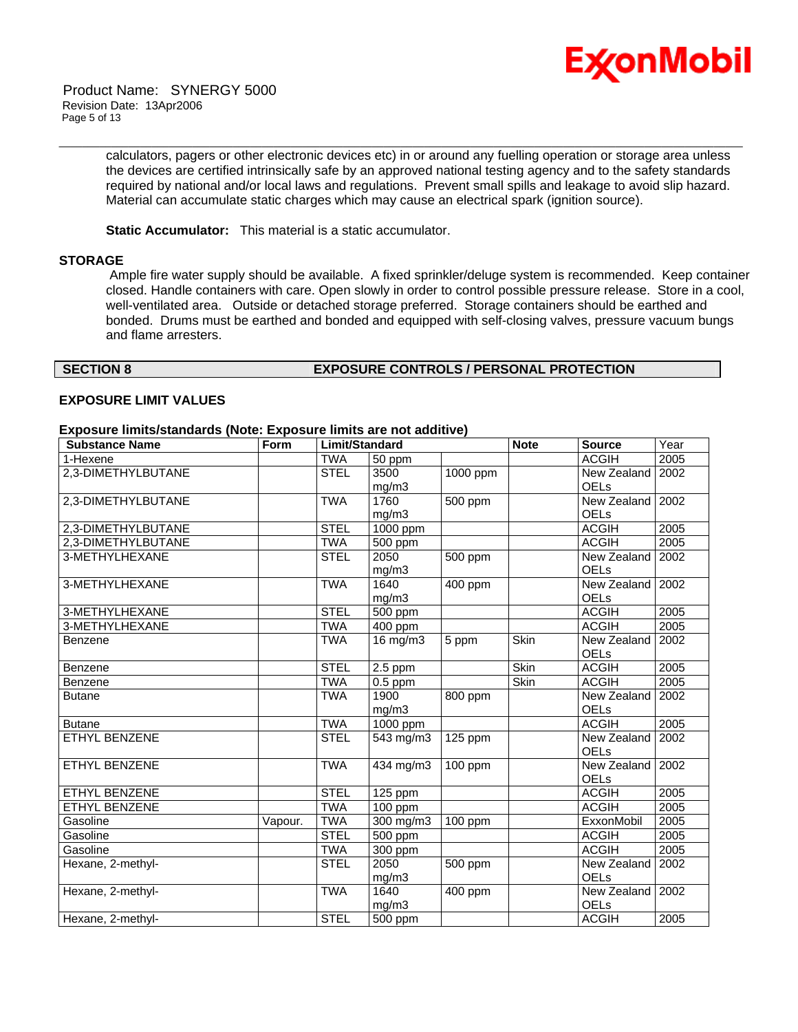

calculators, pagers or other electronic devices etc) in or around any fuelling operation or storage area unless the devices are certified intrinsically safe by an approved national testing agency and to the safety standards required by national and/or local laws and regulations. Prevent small spills and leakage to avoid slip hazard. Material can accumulate static charges which may cause an electrical spark (ignition source).

\_\_\_\_\_\_\_\_\_\_\_\_\_\_\_\_\_\_\_\_\_\_\_\_\_\_\_\_\_\_\_\_\_\_\_\_\_\_\_\_\_\_\_\_\_\_\_\_\_\_\_\_\_\_\_\_\_\_\_\_\_\_\_\_\_\_\_\_\_\_\_\_\_\_\_\_\_\_\_\_\_\_\_\_\_\_\_\_\_\_\_\_\_\_\_\_\_\_\_\_\_\_\_\_\_\_\_\_\_\_\_\_\_\_\_\_\_\_

**Static Accumulator:** This material is a static accumulator.

#### **STORAGE**

 Ample fire water supply should be available. A fixed sprinkler/deluge system is recommended. Keep container closed. Handle containers with care. Open slowly in order to control possible pressure release. Store in a cool, well-ventilated area. Outside or detached storage preferred. Storage containers should be earthed and bonded. Drums must be earthed and bonded and equipped with self-closing valves, pressure vacuum bungs and flame arresters.

#### **SECTION 8 EXPOSURE CONTROLS / PERSONAL PROTECTION**

#### **EXPOSURE LIMIT VALUES**

#### **Exposure limits/standards (Note: Exposure limits are not additive)**

| <b>Substance Name</b> | Form    | Limit/Standard |                         | <b>Note</b>          | <b>Source</b> | Year               |      |
|-----------------------|---------|----------------|-------------------------|----------------------|---------------|--------------------|------|
| 1-Hexene              |         | <b>TWA</b>     | 50 ppm                  |                      |               | <b>ACGIH</b>       | 2005 |
| 2,3-DIMETHYLBUTANE    |         | <b>STEL</b>    | 3500                    | 1000 ppm             |               | New Zealand        | 2002 |
|                       |         |                | mg/m3                   |                      |               | <b>OELs</b>        |      |
| 2,3-DIMETHYLBUTANE    |         | <b>TWA</b>     | 1760                    | 500 ppm              |               | New Zealand        | 2002 |
|                       |         |                | mg/m3                   |                      |               | <b>OELs</b>        |      |
| 2,3-DIMETHYLBUTANE    |         | <b>STEL</b>    | 1000 ppm                |                      |               | <b>ACGIH</b>       | 2005 |
| 2,3-DIMETHYLBUTANE    |         | <b>TWA</b>     | 500 ppm                 |                      |               | <b>ACGIH</b>       | 2005 |
| 3-METHYLHEXANE        |         | <b>STEL</b>    | 2050                    | 500 ppm              |               | New Zealand        | 2002 |
|                       |         |                | mg/m3                   |                      |               | <b>OELs</b>        |      |
| 3-METHYLHEXANE        |         | <b>TWA</b>     | 1640                    | 400 ppm              |               | New Zealand   2002 |      |
|                       |         |                | mg/m3                   |                      |               | <b>OELs</b>        |      |
| 3-METHYLHEXANE        |         | <b>STEL</b>    | $500$ ppm               |                      |               | <b>ACGIH</b>       | 2005 |
| 3-METHYLHEXANE        |         | <b>TWA</b>     | $\overline{400}$ ppm    |                      |               | <b>ACGIH</b>       | 2005 |
| Benzene               |         | <b>TWA</b>     | 16 mg/m3                | 5 ppm                | <b>Skin</b>   | New Zealand        | 2002 |
|                       |         |                |                         |                      |               | OELs               |      |
| Benzene               |         | <b>STEL</b>    | $2.5$ ppm               |                      | <b>Skin</b>   | <b>ACGIH</b>       | 2005 |
| Benzene               |         | <b>TWA</b>     | $0.5$ ppm               |                      | <b>Skin</b>   | <b>ACGIH</b>       | 2005 |
| <b>Butane</b>         |         | <b>TWA</b>     | 1900                    | $\overline{800}$ ppm |               | New Zealand        | 2002 |
|                       |         |                | mg/m3                   |                      |               | <b>OELs</b>        |      |
| <b>Butane</b>         |         | <b>TWA</b>     | $1000$ ppm              |                      |               | <b>ACGIH</b>       | 2005 |
| <b>ETHYL BENZENE</b>  |         | <b>STEL</b>    | $\overline{5}$ 43 mg/m3 | 125 ppm              |               | New Zealand        | 2002 |
|                       |         |                |                         |                      |               | <b>OELs</b>        |      |
| ETHYL BENZENE         |         | <b>TWA</b>     | 434 mg/m3               | 100 ppm              |               | New Zealand        | 2002 |
|                       |         |                |                         |                      |               | <b>OELs</b>        |      |
| ETHYL BENZENE         |         | <b>STEL</b>    | 125 ppm                 |                      |               | <b>ACGIH</b>       | 2005 |
| ETHYL BENZENE         |         | <b>TWA</b>     | 100 ppm                 |                      |               | <b>ACGIH</b>       | 2005 |
| Gasoline              | Vapour. | <b>TWA</b>     | $300$ mg/m $3$          | 100 ppm              |               | <b>ExxonMobil</b>  | 2005 |
| Gasoline              |         | <b>STEL</b>    | $\overline{500}$ ppm    |                      |               | <b>ACGIH</b>       | 2005 |
| Gasoline              |         | <b>TWA</b>     | 300 ppm                 |                      |               | <b>ACGIH</b>       | 2005 |
| Hexane, 2-methyl-     |         | <b>STEL</b>    | 2050                    | 500 ppm              |               | New Zealand        | 2002 |
|                       |         |                | mg/m3                   |                      |               | <b>OELs</b>        |      |
| Hexane, 2-methyl-     |         | <b>TWA</b>     | 1640                    | 400 ppm              |               | New Zealand I      | 2002 |
|                       |         |                | mg/m3                   |                      |               | <b>OELs</b>        |      |
| Hexane, 2-methyl-     |         | <b>STEL</b>    | 500 ppm                 |                      |               | <b>ACGIH</b>       | 2005 |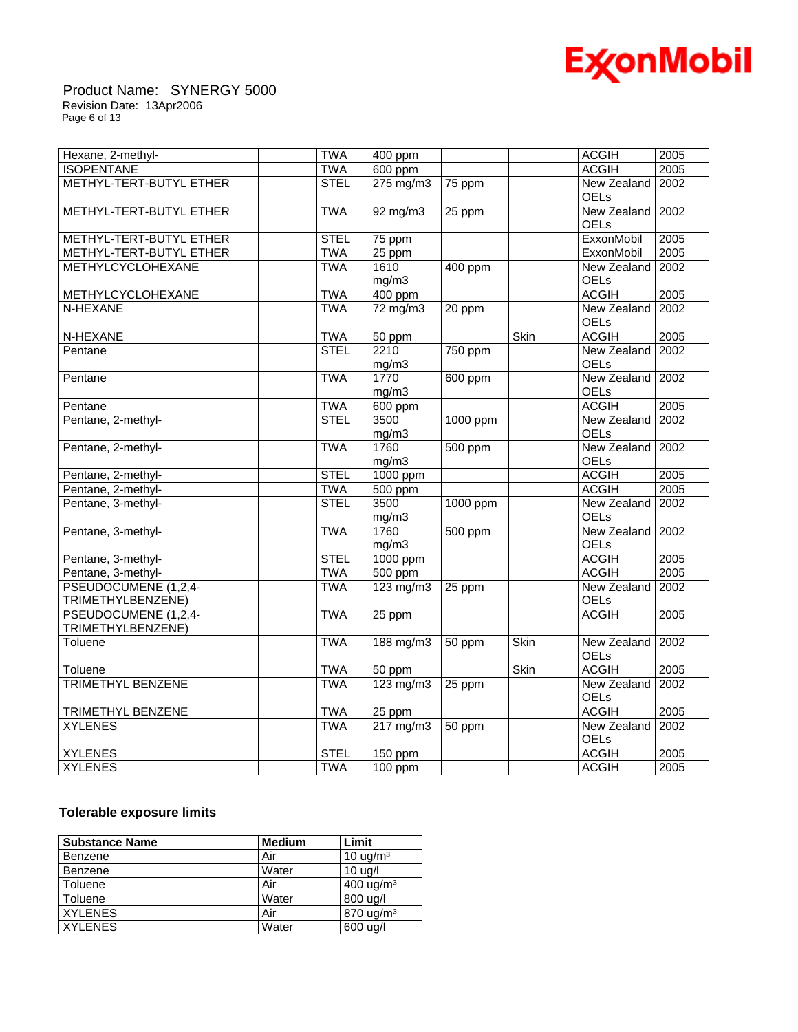

#### Product Name: SYNERGY 5000 Revision Date: 13Apr2006 Page 6 of 13

| Hexane, 2-methyl-        | <b>TWA</b>  | 400 ppm              |          |             | <b>ACGIH</b>                      | 2005 |
|--------------------------|-------------|----------------------|----------|-------------|-----------------------------------|------|
| <b>ISOPENTANE</b>        | <b>TWA</b>  | 600 ppm              |          |             | <b>ACGIH</b>                      | 2005 |
| METHYL-TERT-BUTYL ETHER  | <b>STEL</b> | $275 \text{ mg/m}$ 3 | 75 ppm   |             | New Zealand<br>OELs               | 2002 |
| METHYL-TERT-BUTYL ETHER  | <b>TWA</b>  | $92$ mg/m $3$        | 25 ppm   |             | New Zealand 2002<br><b>OELs</b>   |      |
| METHYL-TERT-BUTYL ETHER  | <b>STEL</b> | 75 ppm               |          |             | <b>ExxonMobil</b>                 | 2005 |
| METHYL-TERT-BUTYL ETHER  | <b>TWA</b>  | $25$ ppm             |          |             | ExxonMobil                        | 2005 |
| <b>METHYLCYCLOHEXANE</b> | <b>TWA</b>  | 1610                 | 400 ppm  |             | New Zealand                       | 2002 |
|                          |             | mg/m3                |          |             | <b>OELs</b>                       |      |
| METHYLCYCLOHEXANE        | <b>TWA</b>  | 400 ppm              |          |             | <b>ACGIH</b>                      | 2005 |
| N-HEXANE                 | <b>TWA</b>  | $72 \text{ mg/m}$    | 20 ppm   |             | New Zealand<br><b>OELs</b>        | 2002 |
| N-HEXANE                 | <b>TWA</b>  | 50 ppm               |          | Skin        | <b>ACGIH</b>                      | 2005 |
| Pentane                  | <b>STEL</b> | 2210                 | 750 ppm  |             | New Zealand                       | 2002 |
|                          |             | mg/m3                |          |             | <b>OELs</b>                       |      |
| Pentane                  | <b>TWA</b>  | 1770                 | 600 ppm  |             | New Zealand 2002                  |      |
|                          |             | mg/m3                |          |             | OELs                              |      |
| Pentane                  | <b>TWA</b>  | 600 ppm              |          |             | <b>ACGIH</b>                      | 2005 |
| Pentane, 2-methyl-       | <b>STEL</b> | 3500                 | 1000 ppm |             | New Zealand                       | 2002 |
|                          |             | mg/m3                |          |             | <b>OELs</b>                       |      |
| Pentane, 2-methyl-       | <b>TWA</b>  | 1760<br>mg/m3        | 500 ppm  |             | New Zealand 2002<br>OELs          |      |
| Pentane, 2-methyl-       | <b>STEL</b> | 1000 ppm             |          |             | <b>ACGIH</b>                      | 2005 |
| Pentane, 2-methyl-       | <b>TWA</b>  | 500 ppm              |          |             | <b>ACGIH</b>                      | 2005 |
| Pentane, 3-methyl-       | <b>STEL</b> | 3500<br>mg/m3        | 1000 ppm |             | New Zealand<br>OELs               | 2002 |
| Pentane, 3-methyl-       | <b>TWA</b>  | 1760                 | 500 ppm  |             | New Zealand 2002                  |      |
|                          |             | mg/m3                |          |             | <b>OELs</b>                       |      |
| Pentane, 3-methyl-       | <b>STEL</b> | 1000 ppm             |          |             | <b>ACGIH</b>                      | 2005 |
| Pentane, 3-methyl-       | <b>TWA</b>  | 500 ppm              |          |             | <b>ACGIH</b>                      | 2005 |
| PSEUDOCUMENE (1,2,4-     | <b>TWA</b>  | 123 mg/m3            | 25 ppm   |             | New Zealand                       | 2002 |
| TRIMETHYLBENZENE)        |             |                      |          |             | OELs                              |      |
| PSEUDOCUMENE (1,2,4-     | <b>TWA</b>  | 25 ppm               |          |             | <b>ACGIH</b>                      | 2005 |
| TRIMETHYLBENZENE)        |             |                      |          |             |                                   |      |
| Toluene                  | <b>TWA</b>  | 188 mg/m3            | 50 ppm   | Skin        | New Zealand 2002<br><b>OELs</b>   |      |
| Toluene                  | <b>TWA</b>  | 50 ppm               |          | <b>Skin</b> | <b>ACGIH</b>                      | 2005 |
| <b>TRIMETHYL BENZENE</b> | <b>TWA</b>  | $123$ mg/m $3$       | 25 ppm   |             | New Zealand   2002<br><b>OELs</b> |      |
| TRIMETHYL BENZENE        | <b>TWA</b>  | 25 ppm               |          |             | <b>ACGIH</b>                      | 2005 |
| <b>XYLENES</b>           | <b>TWA</b>  | $217 \text{ mg/m}$   | 50 ppm   |             | New Zealand 2002<br>OELs          |      |
| <b>XYLENES</b>           | <b>STEL</b> | $150$ ppm            |          |             | <b>ACGIH</b>                      | 2005 |
| <b>XYLENES</b>           | <b>TWA</b>  | $100$ ppm            |          |             | <b>ACGIH</b>                      | 2005 |

\_\_\_\_\_\_\_\_\_\_\_\_\_\_\_\_\_\_\_\_\_\_\_\_\_\_\_\_\_\_\_\_\_\_\_\_\_\_\_\_\_\_\_\_\_\_\_\_\_\_\_\_\_\_\_\_\_\_\_\_\_\_\_\_\_\_\_\_\_\_\_\_\_\_\_\_\_\_\_\_\_\_\_\_\_\_\_\_\_\_\_\_\_\_\_\_\_\_\_\_\_\_\_\_\_\_\_\_\_\_\_\_\_\_\_\_\_\_

# **Tolerable exposure limits**

| <b>Substance Name</b> | <b>Medium</b> | Limit                |
|-----------------------|---------------|----------------------|
| Benzene               | Air           | $10 \text{ uq/m}^3$  |
| Benzene               | Water         | 10 uq/l              |
| Toluene               | Air           | $400 \text{ uq/m}^3$ |
| Toluene               | Water         | 800 ug/l             |
| <b>XYLENES</b>        | Air           | $870 \text{ u}g/m^3$ |
| <b>XYLENES</b>        | Water         | 600 ug/l             |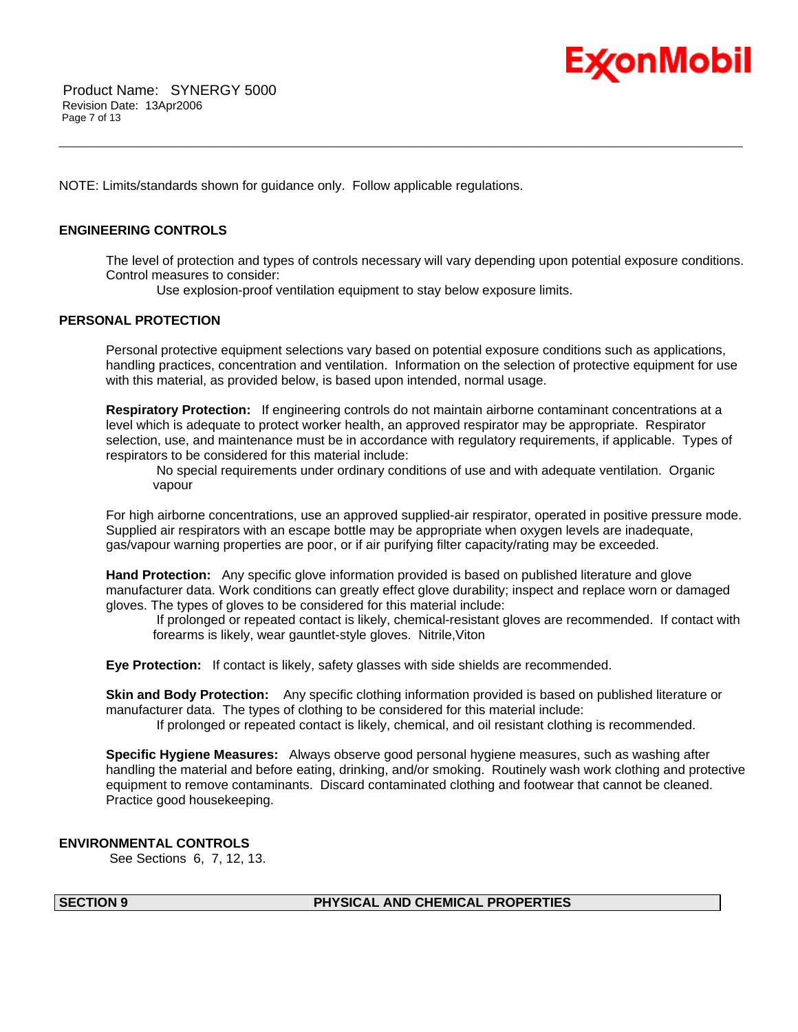

NOTE: Limits/standards shown for guidance only. Follow applicable regulations.

#### **ENGINEERING CONTROLS**

The level of protection and types of controls necessary will vary depending upon potential exposure conditions. Control measures to consider:

\_\_\_\_\_\_\_\_\_\_\_\_\_\_\_\_\_\_\_\_\_\_\_\_\_\_\_\_\_\_\_\_\_\_\_\_\_\_\_\_\_\_\_\_\_\_\_\_\_\_\_\_\_\_\_\_\_\_\_\_\_\_\_\_\_\_\_\_\_\_\_\_\_\_\_\_\_\_\_\_\_\_\_\_\_\_\_\_\_\_\_\_\_\_\_\_\_\_\_\_\_\_\_\_\_\_\_\_\_\_\_\_\_\_\_\_\_\_

Use explosion-proof ventilation equipment to stay below exposure limits.

### **PERSONAL PROTECTION**

Personal protective equipment selections vary based on potential exposure conditions such as applications, handling practices, concentration and ventilation. Information on the selection of protective equipment for use with this material, as provided below, is based upon intended, normal usage.

**Respiratory Protection:** If engineering controls do not maintain airborne contaminant concentrations at a level which is adequate to protect worker health, an approved respirator may be appropriate. Respirator selection, use, and maintenance must be in accordance with regulatory requirements, if applicable. Types of respirators to be considered for this material include:

 No special requirements under ordinary conditions of use and with adequate ventilation. Organic vapour

For high airborne concentrations, use an approved supplied-air respirator, operated in positive pressure mode. Supplied air respirators with an escape bottle may be appropriate when oxygen levels are inadequate, gas/vapour warning properties are poor, or if air purifying filter capacity/rating may be exceeded.

**Hand Protection:** Any specific glove information provided is based on published literature and glove manufacturer data. Work conditions can greatly effect glove durability; inspect and replace worn or damaged gloves. The types of gloves to be considered for this material include:

 If prolonged or repeated contact is likely, chemical-resistant gloves are recommended. If contact with forearms is likely, wear gauntlet-style gloves. Nitrile,Viton

**Eye Protection:** If contact is likely, safety glasses with side shields are recommended.

**Skin and Body Protection:** Any specific clothing information provided is based on published literature or manufacturer data. The types of clothing to be considered for this material include:

If prolonged or repeated contact is likely, chemical, and oil resistant clothing is recommended.

**Specific Hygiene Measures:** Always observe good personal hygiene measures, such as washing after handling the material and before eating, drinking, and/or smoking. Routinely wash work clothing and protective equipment to remove contaminants. Discard contaminated clothing and footwear that cannot be cleaned. Practice good housekeeping.

#### **ENVIRONMENTAL CONTROLS**

See Sections 6, 7, 12, 13.

### **SECTION 9 PHYSICAL AND CHEMICAL PROPERTIES**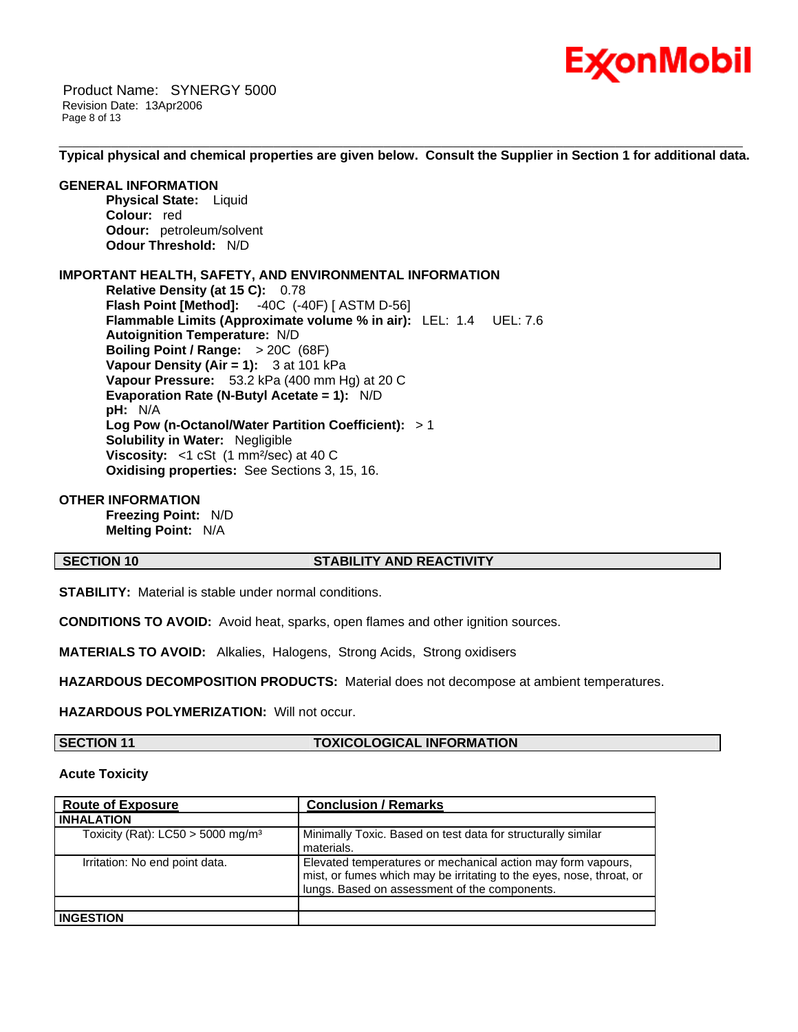

 Product Name: SYNERGY 5000 Revision Date: 13Apr2006 Page 8 of 13

\_\_\_\_\_\_\_\_\_\_\_\_\_\_\_\_\_\_\_\_\_\_\_\_\_\_\_\_\_\_\_\_\_\_\_\_\_\_\_\_\_\_\_\_\_\_\_\_\_\_\_\_\_\_\_\_\_\_\_\_\_\_\_\_\_\_\_\_\_\_\_\_\_\_\_\_\_\_\_\_\_\_\_\_\_\_\_\_\_\_\_\_\_\_\_\_\_\_\_\_\_\_\_\_\_\_\_\_\_\_\_\_\_\_\_\_\_\_ **Typical physical and chemical properties are given below. Consult the Supplier in Section 1 for additional data.**

#### **GENERAL INFORMATION**

**Physical State:** Liquid **Colour:** red **Odour:** petroleum/solvent **Odour Threshold:** N/D

### **IMPORTANT HEALTH, SAFETY, AND ENVIRONMENTAL INFORMATION**

**Relative Density (at 15 C):** 0.78 **Flash Point [Method]:** -40C (-40F) [ ASTM D-56] **Flammable Limits (Approximate volume % in air):** LEL: 1.4 UEL: 7.6 **Autoignition Temperature:** N/D **Boiling Point / Range:** > 20C (68F) **Vapour Density (Air = 1):** 3 at 101 kPa **Vapour Pressure:** 53.2 kPa (400 mm Hg) at 20 C **Evaporation Rate (N-Butyl Acetate = 1):** N/D **pH:** N/A **Log Pow (n-Octanol/Water Partition Coefficient):** > 1 **Solubility in Water:** Negligible **Viscosity:** <1 cSt (1 mm<sup>2</sup>/sec) at 40 C **Oxidising properties:** See Sections 3, 15, 16.

#### **OTHER INFORMATION**

**Freezing Point:** N/D **Melting Point:** N/A

#### **SECTION 10 STABILITY AND REACTIVITY**

**STABILITY:** Material is stable under normal conditions.

**CONDITIONS TO AVOID:** Avoid heat, sparks, open flames and other ignition sources.

**MATERIALS TO AVOID:** Alkalies, Halogens, Strong Acids, Strong oxidisers

**HAZARDOUS DECOMPOSITION PRODUCTS:** Material does not decompose at ambient temperatures.

**HAZARDOUS POLYMERIZATION:** Will not occur.

### **SECTION 11 TOXICOLOGICAL INFORMATION**

#### **Acute Toxicity**

| <b>Route of Exposure</b>                        | <b>Conclusion / Remarks</b>                                                                                                                                                           |
|-------------------------------------------------|---------------------------------------------------------------------------------------------------------------------------------------------------------------------------------------|
| <b>INHALATION</b>                               |                                                                                                                                                                                       |
| Toxicity (Rat): $LC50 > 5000$ mg/m <sup>3</sup> | Minimally Toxic. Based on test data for structurally similar<br>materials.                                                                                                            |
| Irritation: No end point data.                  | Elevated temperatures or mechanical action may form vapours,<br>mist, or fumes which may be irritating to the eyes, nose, throat, or<br>lungs. Based on assessment of the components. |
|                                                 |                                                                                                                                                                                       |
| <b>INGESTION</b>                                |                                                                                                                                                                                       |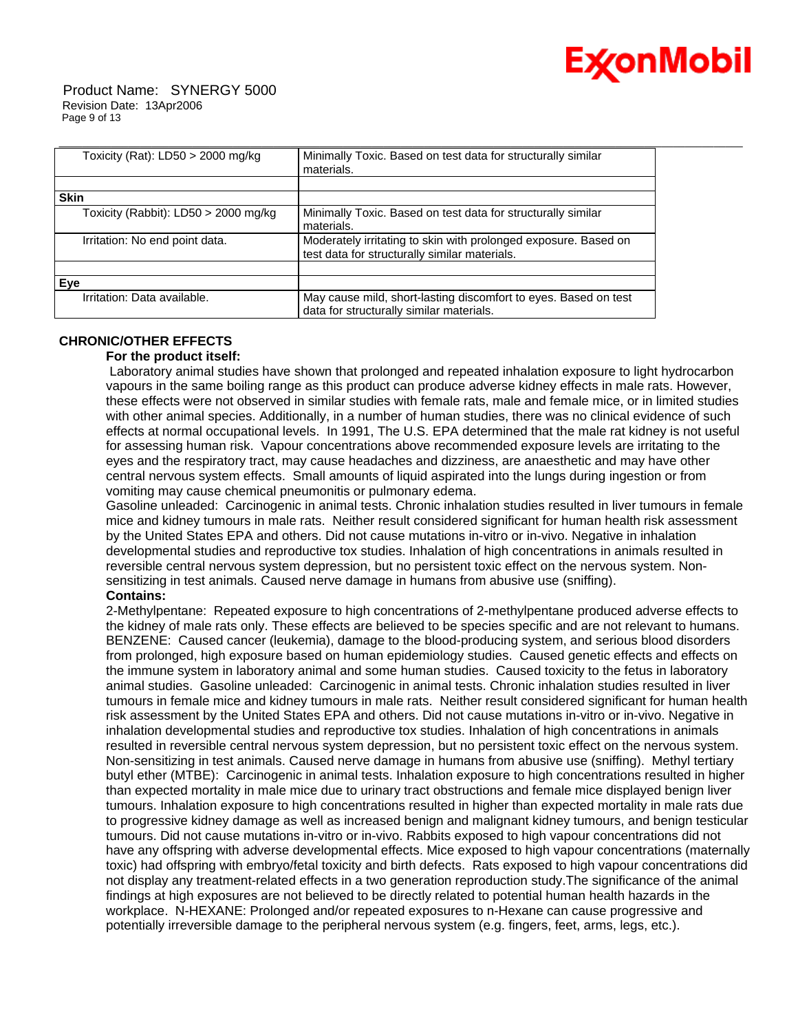

 Product Name: SYNERGY 5000 Revision Date: 13Apr2006 Page 9 of 13

| Toxicity (Rat): LD50 > 2000 mg/kg    | Minimally Toxic. Based on test data for structurally similar                                                     |
|--------------------------------------|------------------------------------------------------------------------------------------------------------------|
|                                      | materials.                                                                                                       |
|                                      |                                                                                                                  |
| <b>Skin</b>                          |                                                                                                                  |
| Toxicity (Rabbit): LD50 > 2000 mg/kg | Minimally Toxic. Based on test data for structurally similar<br>materials.                                       |
| Irritation: No end point data.       | Moderately irritating to skin with prolonged exposure. Based on<br>test data for structurally similar materials. |
|                                      |                                                                                                                  |
| Eve                                  |                                                                                                                  |
| Irritation: Data available.          | May cause mild, short-lasting discomfort to eyes. Based on test                                                  |
|                                      | data for structurally similar materials.                                                                         |

# **CHRONIC/OTHER EFFECTS**

#### **For the product itself:**

 Laboratory animal studies have shown that prolonged and repeated inhalation exposure to light hydrocarbon vapours in the same boiling range as this product can produce adverse kidney effects in male rats. However, these effects were not observed in similar studies with female rats, male and female mice, or in limited studies with other animal species. Additionally, in a number of human studies, there was no clinical evidence of such effects at normal occupational levels. In 1991, The U.S. EPA determined that the male rat kidney is not useful for assessing human risk. Vapour concentrations above recommended exposure levels are irritating to the eyes and the respiratory tract, may cause headaches and dizziness, are anaesthetic and may have other central nervous system effects. Small amounts of liquid aspirated into the lungs during ingestion or from vomiting may cause chemical pneumonitis or pulmonary edema.

Gasoline unleaded: Carcinogenic in animal tests. Chronic inhalation studies resulted in liver tumours in female mice and kidney tumours in male rats. Neither result considered significant for human health risk assessment by the United States EPA and others. Did not cause mutations in-vitro or in-vivo. Negative in inhalation developmental studies and reproductive tox studies. Inhalation of high concentrations in animals resulted in reversible central nervous system depression, but no persistent toxic effect on the nervous system. Nonsensitizing in test animals. Caused nerve damage in humans from abusive use (sniffing).

# **Contains:**

2-Methylpentane: Repeated exposure to high concentrations of 2-methylpentane produced adverse effects to the kidney of male rats only. These effects are believed to be species specific and are not relevant to humans. BENZENE: Caused cancer (leukemia), damage to the blood-producing system, and serious blood disorders from prolonged, high exposure based on human epidemiology studies. Caused genetic effects and effects on the immune system in laboratory animal and some human studies. Caused toxicity to the fetus in laboratory animal studies. Gasoline unleaded: Carcinogenic in animal tests. Chronic inhalation studies resulted in liver tumours in female mice and kidney tumours in male rats. Neither result considered significant for human health risk assessment by the United States EPA and others. Did not cause mutations in-vitro or in-vivo. Negative in inhalation developmental studies and reproductive tox studies. Inhalation of high concentrations in animals resulted in reversible central nervous system depression, but no persistent toxic effect on the nervous system. Non-sensitizing in test animals. Caused nerve damage in humans from abusive use (sniffing). Methyl tertiary butyl ether (MTBE): Carcinogenic in animal tests. Inhalation exposure to high concentrations resulted in higher than expected mortality in male mice due to urinary tract obstructions and female mice displayed benign liver tumours. Inhalation exposure to high concentrations resulted in higher than expected mortality in male rats due to progressive kidney damage as well as increased benign and malignant kidney tumours, and benign testicular tumours. Did not cause mutations in-vitro or in-vivo. Rabbits exposed to high vapour concentrations did not have any offspring with adverse developmental effects. Mice exposed to high vapour concentrations (maternally toxic) had offspring with embryo/fetal toxicity and birth defects. Rats exposed to high vapour concentrations did not display any treatment-related effects in a two generation reproduction study.The significance of the animal findings at high exposures are not believed to be directly related to potential human health hazards in the workplace. N-HEXANE: Prolonged and/or repeated exposures to n-Hexane can cause progressive and potentially irreversible damage to the peripheral nervous system (e.g. fingers, feet, arms, legs, etc.).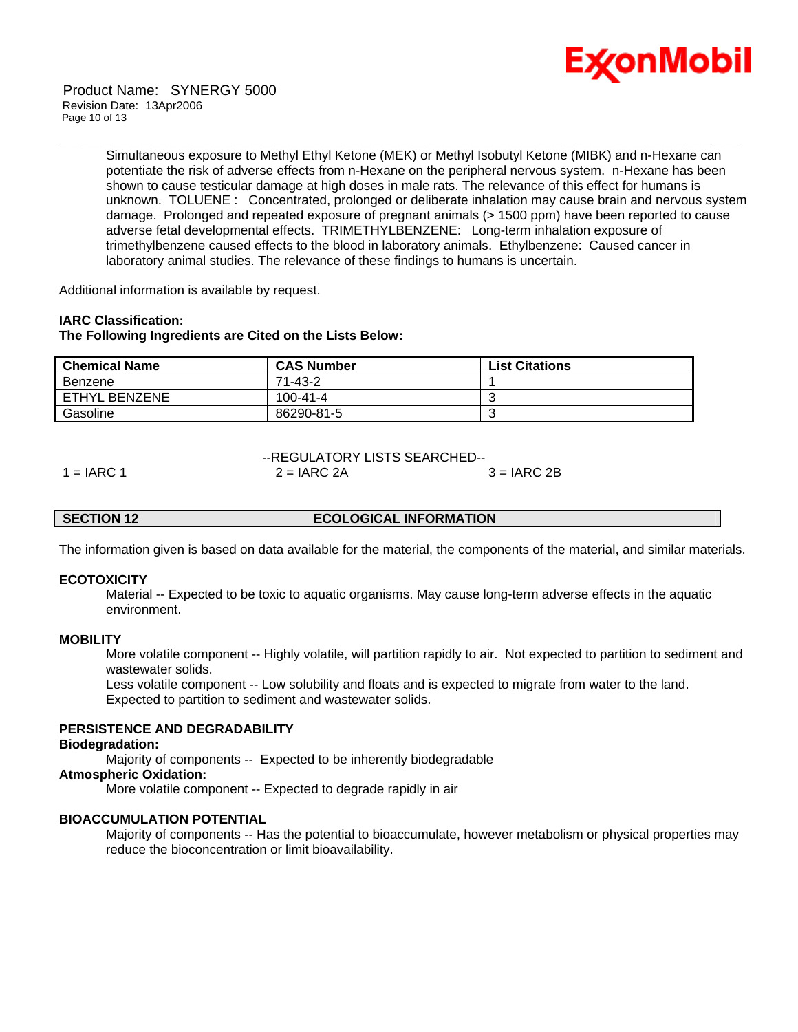

Simultaneous exposure to Methyl Ethyl Ketone (MEK) or Methyl Isobutyl Ketone (MIBK) and n-Hexane can potentiate the risk of adverse effects from n-Hexane on the peripheral nervous system. n-Hexane has been shown to cause testicular damage at high doses in male rats. The relevance of this effect for humans is unknown. TOLUENE : Concentrated, prolonged or deliberate inhalation may cause brain and nervous system damage. Prolonged and repeated exposure of pregnant animals (> 1500 ppm) have been reported to cause adverse fetal developmental effects. TRIMETHYLBENZENE: Long-term inhalation exposure of trimethylbenzene caused effects to the blood in laboratory animals. Ethylbenzene: Caused cancer in laboratory animal studies. The relevance of these findings to humans is uncertain.

\_\_\_\_\_\_\_\_\_\_\_\_\_\_\_\_\_\_\_\_\_\_\_\_\_\_\_\_\_\_\_\_\_\_\_\_\_\_\_\_\_\_\_\_\_\_\_\_\_\_\_\_\_\_\_\_\_\_\_\_\_\_\_\_\_\_\_\_\_\_\_\_\_\_\_\_\_\_\_\_\_\_\_\_\_\_\_\_\_\_\_\_\_\_\_\_\_\_\_\_\_\_\_\_\_\_\_\_\_\_\_\_\_\_\_\_\_\_

Additional information is available by request.

#### **IARC Classification:**

#### **The Following Ingredients are Cited on the Lists Below:**

| <b>Chemical Name</b> | <b>CAS Number</b> | <b>List Citations</b> |
|----------------------|-------------------|-----------------------|
| Benzene              | 71-43-2           |                       |
| ETHYL BENZENE        | $100 - 41 - 4$    |                       |
| Gasoline             | 86290-81-5        |                       |

--REGULATORY LISTS SEARCHED--

 $1 = IARC$  1  $2 = IARC$  2A  $3 = IARC$  2B

#### **SECTION 12 ECOLOGICAL INFORMATION**

The information given is based on data available for the material, the components of the material, and similar materials.

#### **ECOTOXICITY**

 Material -- Expected to be toxic to aquatic organisms. May cause long-term adverse effects in the aquatic environment.

#### **MOBILITY**

 More volatile component -- Highly volatile, will partition rapidly to air. Not expected to partition to sediment and wastewater solids.

 Less volatile component -- Low solubility and floats and is expected to migrate from water to the land. Expected to partition to sediment and wastewater solids.

#### **PERSISTENCE AND DEGRADABILITY**

#### **Biodegradation:**

Majority of components -- Expected to be inherently biodegradable

#### **Atmospheric Oxidation:**

More volatile component -- Expected to degrade rapidly in air

#### **BIOACCUMULATION POTENTIAL**

 Majority of components -- Has the potential to bioaccumulate, however metabolism or physical properties may reduce the bioconcentration or limit bioavailability.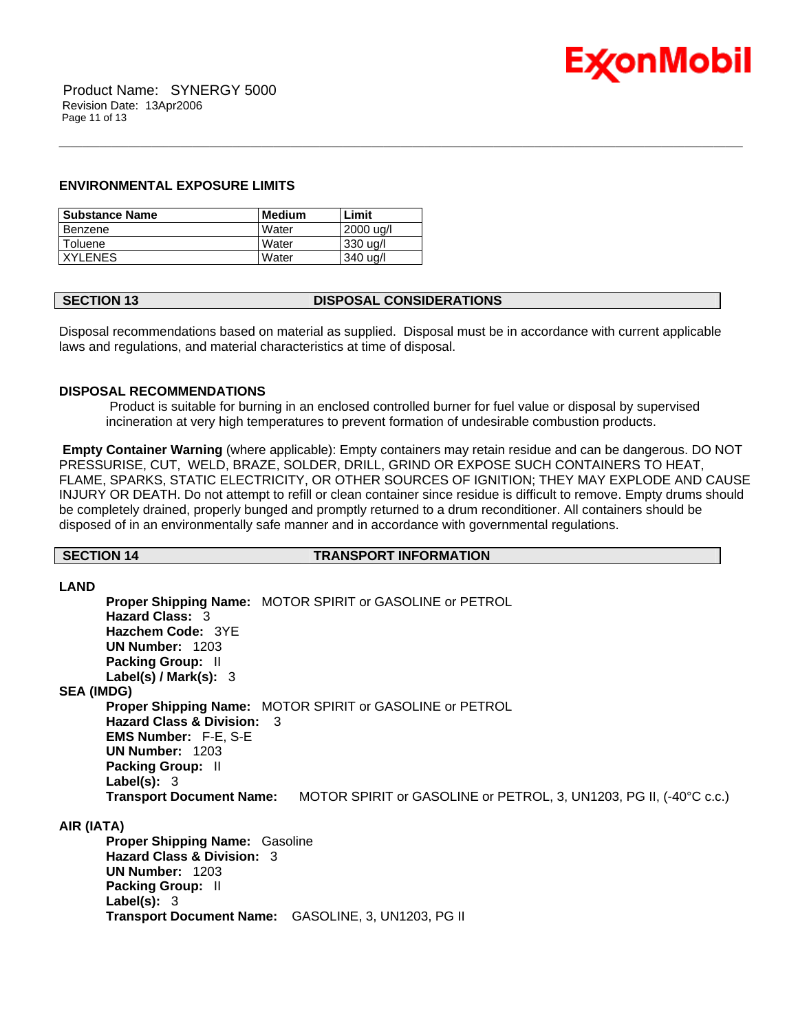

#### **ENVIRONMENTAL EXPOSURE LIMITS**

| l Substance Name | Medium | Limit     |
|------------------|--------|-----------|
| Benzene          | Water  | 2000 ug/l |
| Toluene          | Water  | 330 ug/l  |
| <b>IXYLENES</b>  | Water  | 340 ug/l  |

# **SECTION 13 DISPOSAL CONSIDERATIONS**

Disposal recommendations based on material as supplied. Disposal must be in accordance with current applicable laws and regulations, and material characteristics at time of disposal.

\_\_\_\_\_\_\_\_\_\_\_\_\_\_\_\_\_\_\_\_\_\_\_\_\_\_\_\_\_\_\_\_\_\_\_\_\_\_\_\_\_\_\_\_\_\_\_\_\_\_\_\_\_\_\_\_\_\_\_\_\_\_\_\_\_\_\_\_\_\_\_\_\_\_\_\_\_\_\_\_\_\_\_\_\_\_\_\_\_\_\_\_\_\_\_\_\_\_\_\_\_\_\_\_\_\_\_\_\_\_\_\_\_\_\_\_\_\_

#### **DISPOSAL RECOMMENDATIONS**

 Product is suitable for burning in an enclosed controlled burner for fuel value or disposal by supervised incineration at very high temperatures to prevent formation of undesirable combustion products.

**Empty Container Warning** (where applicable): Empty containers may retain residue and can be dangerous. DO NOT PRESSURISE, CUT, WELD, BRAZE, SOLDER, DRILL, GRIND OR EXPOSE SUCH CONTAINERS TO HEAT, FLAME, SPARKS, STATIC ELECTRICITY, OR OTHER SOURCES OF IGNITION; THEY MAY EXPLODE AND CAUSE INJURY OR DEATH. Do not attempt to refill or clean container since residue is difficult to remove. Empty drums should be completely drained, properly bunged and promptly returned to a drum reconditioner. All containers should be disposed of in an environmentally safe manner and in accordance with governmental regulations.

#### **SECTION 14 TRANSPORT INFORMATION**

**LAND Proper Shipping Name:** MOTOR SPIRIT or GASOLINE or PETROL **Hazard Class:** 3 **Hazchem Code:** 3YE **UN Number:** 1203 **Packing Group:** II **Label(s) / Mark(s):** 3 **SEA (IMDG) Proper Shipping Name:** MOTOR SPIRIT or GASOLINE or PETROL **Hazard Class & Division:** 3 **EMS Number:** F-E, S-E **UN Number:** 1203 **Packing Group:** II **Label(s):** 3 **Transport Document Name:** MOTOR SPIRIT or GASOLINE or PETROL, 3, UN1203, PG II, (-40°C c.c.) **AIR (IATA)**

**Proper Shipping Name:** Gasoline **Hazard Class & Division:** 3 **UN Number:** 1203 **Packing Group:** II **Label(s):** 3 **Transport Document Name:** GASOLINE, 3, UN1203, PG II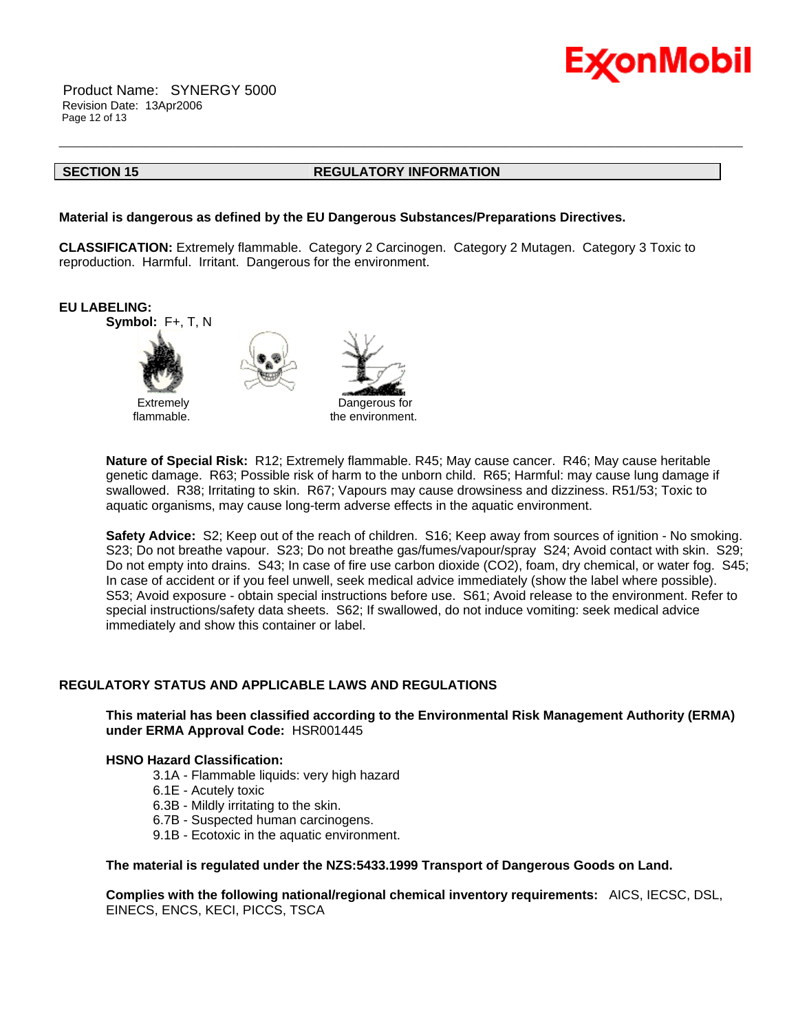

 Product Name: SYNERGY 5000 Revision Date: 13Apr2006 Page 12 of 13

#### **SECTION 15 REGULATORY INFORMATION**

\_\_\_\_\_\_\_\_\_\_\_\_\_\_\_\_\_\_\_\_\_\_\_\_\_\_\_\_\_\_\_\_\_\_\_\_\_\_\_\_\_\_\_\_\_\_\_\_\_\_\_\_\_\_\_\_\_\_\_\_\_\_\_\_\_\_\_\_\_\_\_\_\_\_\_\_\_\_\_\_\_\_\_\_\_\_\_\_\_\_\_\_\_\_\_\_\_\_\_\_\_\_\_\_\_\_\_\_\_\_\_\_\_\_\_\_\_\_

#### **Material is dangerous as defined by the EU Dangerous Substances/Preparations Directives.**

**CLASSIFICATION:** Extremely flammable. Category 2 Carcinogen. Category 2 Mutagen. Category 3 Toxic to reproduction. Harmful. Irritant. Dangerous for the environment.



**Nature of Special Risk:** R12; Extremely flammable. R45; May cause cancer. R46; May cause heritable genetic damage. R63; Possible risk of harm to the unborn child. R65; Harmful: may cause lung damage if swallowed. R38; Irritating to skin. R67; Vapours may cause drowsiness and dizziness. R51/53; Toxic to aquatic organisms, may cause long-term adverse effects in the aquatic environment.

**Safety Advice:** S2; Keep out of the reach of children. S16; Keep away from sources of ignition - No smoking. S23; Do not breathe vapour. S23; Do not breathe gas/fumes/vapour/spray S24; Avoid contact with skin. S29; Do not empty into drains. S43; In case of fire use carbon dioxide (CO2), foam, dry chemical, or water fog. S45; In case of accident or if you feel unwell, seek medical advice immediately (show the label where possible). S53; Avoid exposure - obtain special instructions before use. S61; Avoid release to the environment. Refer to special instructions/safety data sheets. S62; If swallowed, do not induce vomiting: seek medical advice immediately and show this container or label.

### **REGULATORY STATUS AND APPLICABLE LAWS AND REGULATIONS**

**This material has been classified according to the Environmental Risk Management Authority (ERMA) under ERMA Approval Code:** HSR001445

#### **HSNO Hazard Classification:**

- 3.1A Flammable liquids: very high hazard
- 6.1E Acutely toxic
- 6.3B Mildly irritating to the skin.
- 6.7B Suspected human carcinogens.
- 9.1B Ecotoxic in the aquatic environment.

#### **The material is regulated under the NZS:5433.1999 Transport of Dangerous Goods on Land.**

**Complies with the following national/regional chemical inventory requirements:** AICS, IECSC, DSL, EINECS, ENCS, KECI, PICCS, TSCA